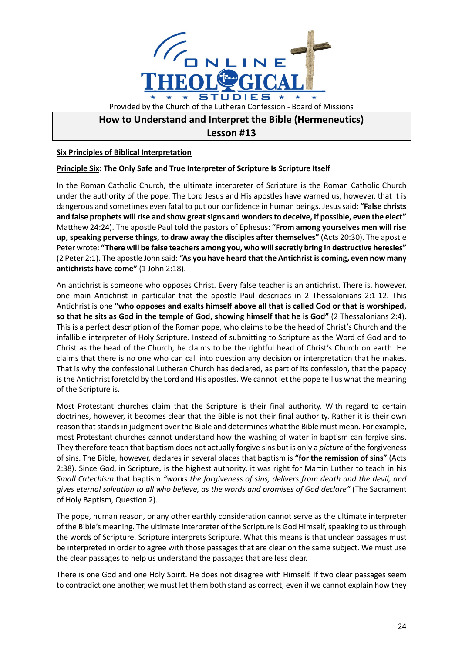

## **How to Understand and Interpret the Bible (Hermeneutics)**

**Lesson #13**

**Six Principles of Biblical Interpretation**

## **Principle Six: The Only Safe and True Interpreter of Scripture Is Scripture Itself**

In the Roman Catholic Church, the ultimate interpreter of Scripture is the Roman Catholic Church under the authority of the pope. The Lord Jesus and His apostles have warned us, however, that it is dangerous and sometimes even fatal to put our confidence in human beings. Jesus said: **"False christs and false prophets will rise and show great signs and wonders to deceive, if possible, even the elect"** Matthew 24:24). The apostle Paul told the pastors of Ephesus: **"From among yourselves men will rise up, speaking perverse things, to draw away the disciples after themselves"** (Acts 20:30). The apostle Peter wrote: **"There will be false teachers among you, who will secretly bring in destructive heresies"**  (2 Peter 2:1). The apostle John said: **"As you have heard that the Antichrist is coming, even now many antichrists have come"** (1 John 2:18).

An antichrist is someone who opposes Christ. Every false teacher is an antichrist. There is, however, one main Antichrist in particular that the apostle Paul describes in 2 Thessalonians 2:1-12. This Antichrist is one **"who opposes and exalts himself above all that is called God or that is worshiped, so that he sits as God in the temple of God, showing himself that he is God"** (2 Thessalonians 2:4). This is a perfect description of the Roman pope, who claims to be the head of Christ's Church and the infallible interpreter of Holy Scripture. Instead of submitting to Scripture as the Word of God and to Christ as the head of the Church, he claims to be the rightful head of Christ's Church on earth. He claims that there is no one who can call into question any decision or interpretation that he makes. That is why the confessional Lutheran Church has declared, as part of its confession, that the papacy is the Antichrist foretold by the Lord and His apostles. We cannot let the pope tell us what the meaning of the Scripture is.

Most Protestant churches claim that the Scripture is their final authority. With regard to certain doctrines, however, it becomes clear that the Bible is not their final authority. Rather it is their own reason that stands in judgment over the Bible and determines what the Bible must mean. For example, most Protestant churches cannot understand how the washing of water in baptism can forgive sins. They therefore teach that baptism does not actually forgive sins but is only a *picture* of the forgiveness of sins. The Bible, however, declares in several places that baptism is **"for the remission of sins"** (Acts 2:38). Since God, in Scripture, is the highest authority, it was right for Martin Luther to teach in his *Small Catechism* that baptism *"works the forgiveness of sins, delivers from death and the devil, and gives eternal salvation to all who believe, as the words and promises of God declare"* (The Sacrament of Holy Baptism, Question 2).

The pope, human reason, or any other earthly consideration cannot serve as the ultimate interpreter of the Bible's meaning. The ultimate interpreter of the Scripture is God Himself, speaking to us through the words of Scripture. Scripture interprets Scripture. What this means is that unclear passages must be interpreted in order to agree with those passages that are clear on the same subject. We must use the clear passages to help us understand the passages that are less clear.

There is one God and one Holy Spirit. He does not disagree with Himself. If two clear passages seem to contradict one another, we must let them both stand as correct, even if we cannot explain how they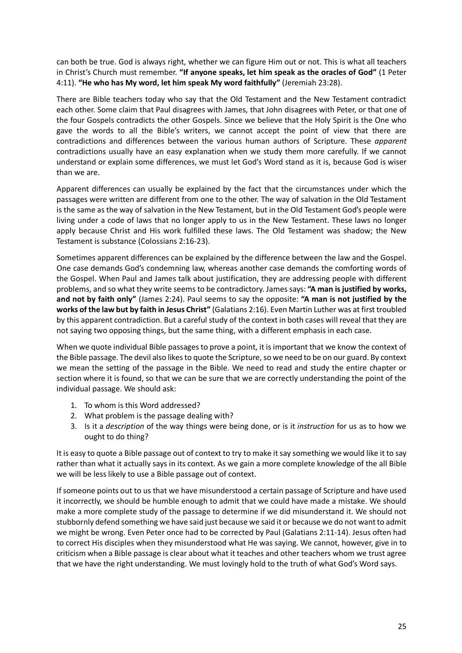can both be true. God is always right, whether we can figure Him out or not. This is what all teachers in Christ's Church must remember. **"If anyone speaks, let him speak as the oracles of God"** (1 Peter 4:11). **"He who has My word, let him speak My word faithfully"** (Jeremiah 23:28).

There are Bible teachers today who say that the Old Testament and the New Testament contradict each other. Some claim that Paul disagrees with James, that John disagrees with Peter, or that one of the four Gospels contradicts the other Gospels. Since we believe that the Holy Spirit is the One who gave the words to all the Bible's writers, we cannot accept the point of view that there are contradictions and differences between the various human authors of Scripture. These *apparent* contradictions usually have an easy explanation when we study them more carefully. If we cannot understand or explain some differences, we must let God's Word stand as it is, because God is wiser than we are.

Apparent differences can usually be explained by the fact that the circumstances under which the passages were written are different from one to the other. The way of salvation in the Old Testament is the same as the way of salvation in the New Testament, but in the Old Testament God's people were living under a code of laws that no longer apply to us in the New Testament. These laws no longer apply because Christ and His work fulfilled these laws. The Old Testament was shadow; the New Testament is substance (Colossians 2:16-23).

Sometimes apparent differences can be explained by the difference between the law and the Gospel. One case demands God's condemning law, whereas another case demands the comforting words of the Gospel. When Paul and James talk about justification, they are addressing people with different problems, and so what they write seems to be contradictory. James says: **"A man is justified by works, and not by faith only"** (James 2:24). Paul seems to say the opposite: **"A man is not justified by the works of the law but by faith in Jesus Christ"** (Galatians 2:16). Even Martin Luther was at first troubled by this apparent contradiction. But a careful study of the context in both cases will reveal that they are not saying two opposing things, but the same thing, with a different emphasis in each case.

When we quote individual Bible passages to prove a point, it is important that we know the context of the Bible passage. The devil also likes to quote the Scripture, so we need to be on our guard. By context we mean the setting of the passage in the Bible. We need to read and study the entire chapter or section where it is found, so that we can be sure that we are correctly understanding the point of the individual passage. We should ask:

- 1. To whom is this Word addressed?
- 2. What problem is the passage dealing with?
- 3. Is it a *description* of the way things were being done, or is it *instruction* for us as to how we ought to do thing?

It is easy to quote a Bible passage out of context to try to make it say something we would like it to say rather than what it actually says in its context. As we gain a more complete knowledge of the all Bible we will be less likely to use a Bible passage out of context.

If someone points out to us that we have misunderstood a certain passage of Scripture and have used it incorrectly, we should be humble enough to admit that we could have made a mistake. We should make a more complete study of the passage to determine if we did misunderstand it. We should not stubbornly defend something we have said just because we said it or because we do not want to admit we might be wrong. Even Peter once had to be corrected by Paul (Galatians 2:11-14). Jesus often had to correct His disciples when they misunderstood what He was saying. We cannot, however, give in to criticism when a Bible passage is clear about what it teaches and other teachers whom we trust agree that we have the right understanding. We must lovingly hold to the truth of what God's Word says.